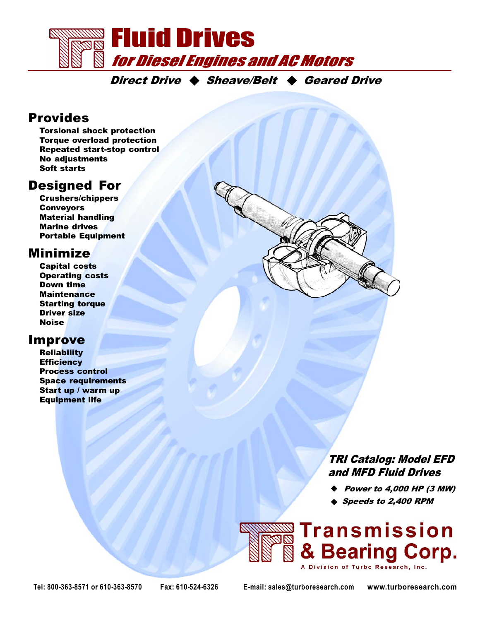

Direct Drive  $\triangle$  Sheave/Belt  $\triangle$  Geared Drive

#### Provides

Torsional shock protection Torque overload protection Repeated start-stop control No adjustments Soft starts

#### Designed For

Crushers/chippers **Conveyors** Material handling Marine drives Portable Equipment

#### Minimize

Capital costs Operating costs Down time **Maintenance** Starting torque Driver size Noise

#### Improve

**Reliability Efficiency** Process control Space requirements Start up / warm up Equipment life

> TRI Catalog: Model EFD and MFD Fluid Drives

- $\blacklozenge$  Power to 4,000 HP (3 MW)
- ♦ Speeds to 2,400 RPM



Tel: 800-363-8571 or 610-363-8570 Fax: 610-524-6326 E-mail: sales@turboresearch.com www.turboresearch.com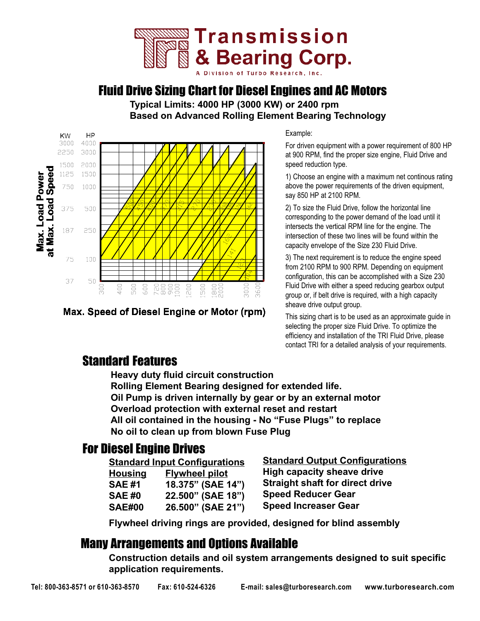

#### Fluid Drive Sizing Chart for Diesel Engines and AC Motors

Typical Limits: 4000 HP (3000 KW) or 2400 rpm Based on Advanced Rolling Element Bearing Technology



Max. Speed of Diesel Engine or Motor (rpm)

Example:

For driven equipment with a power requirement of 800 HP at 900 RPM, find the proper size engine, Fluid Drive and speed reduction type.

1) Choose an engine with a maximum net continous rating above the power requirements of the driven equipment, say 850 HP at 2100 RPM.

2) To size the Fluid Drive, follow the horizontal line corresponding to the power demand of the load until it intersects the vertical RPM line for the engine. The intersection of these two lines will be found within the capacity envelope of the Size 230 Fluid Drive.

3) The next requirement is to reduce the engine speed from 2100 RPM to 900 RPM. Depending on equipment configuration, this can be accomplished with a Size 230 Fluid Drive with either a speed reducing gearbox output group or, if belt drive is required, with a high capacity sheave drive output group.

This sizing chart is to be used as an approximate guide in selecting the proper size Fluid Drive. To optimize the efficiency and installation of the TRI Fluid Drive, please contact TRI for a detailed analysis of your requirements.

#### Standard Features

Heavy duty fluid circuit construction Rolling Element Bearing designed for extended life. Oil Pump is driven internally by gear or by an external motor Overload protection with external reset and restart All oil contained in the housing - No "Fuse Plugs" to replace No oil to clean up from blown Fuse Plug

#### For Diesel Engine Drives

| <u><b>Standard Input Configurations</b></u> |                       |
|---------------------------------------------|-----------------------|
| <u>Housing</u>                              | <b>Flywheel pilot</b> |
| SAE #1                                      | 18.375" (SAE 14")     |
| SAE #0                                      | 22.500" (SAE 18")     |
| SAE#00                                      | 26.500" (SAE 21")     |

Standard Output Configurations High capacity sheave drive Straight shaft for direct drive Speed Reducer Gear Speed Increaser Gear

Flywheel driving rings are provided, designed for blind assembly

#### Many Arrangements and Options Available

Construction details and oil system arrangements designed to suit specific application requirements.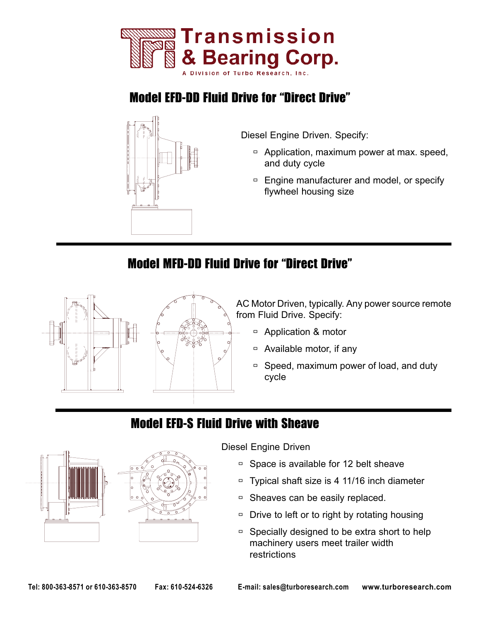

## **Model EFD-DD Fluid Drive for "Direct Drive"**



Diesel Engine Driven. Specify:

- $\Box$  Application, maximum power at max. speed, and duty cycle
- $\Box$  Engine manufacturer and model, or specify flywheel housing size

## Model MFD-DD Fluid Drive for "Direct Drive"



AC Motor Driven, typically. Any power source remote from Fluid Drive. Specify:

- $\Box$  Application & motor
- $\Box$  Available motor, if any
- $\Box$  Speed, maximum power of load, and duty cycle

## Model EFD-S Fluid Drive with Sheave



Diesel Engine Driven

- $\overline{a}$  Space is available for 12 belt sheave
- $\Box$  Typical shaft size is 4 11/16 inch diameter
- $\Box$  Sheaves can be easily replaced.
- $\Box$  Drive to left or to right by rotating housing
- $\Box$  Specially designed to be extra short to help machinery users meet trailer width restrictions